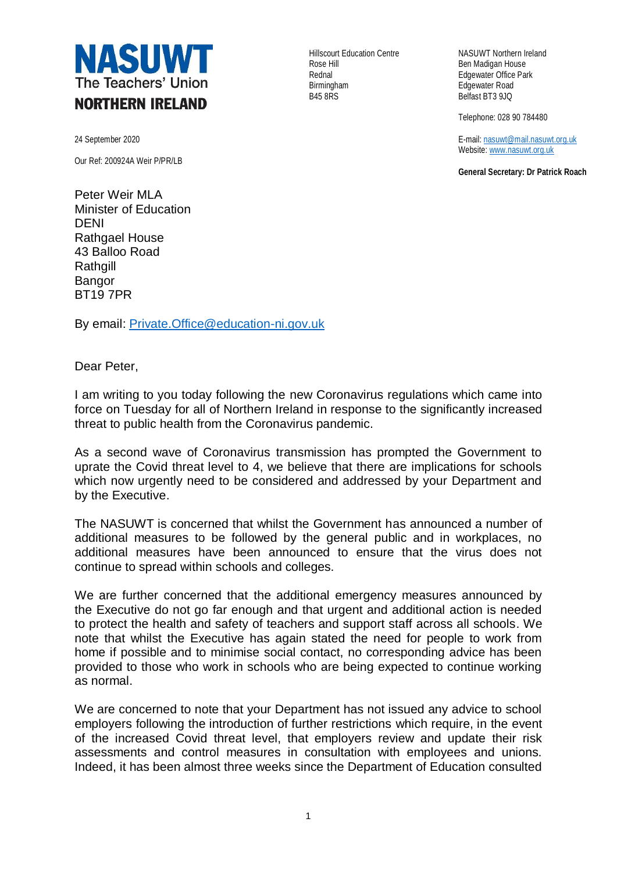

24 September 2020

Our Ref: 200924A Weir P/PR/LB

Peter Weir MLA Minister of Education DENI Rathgael House 43 Balloo Road **Rathgill** Bangor BT19 7PR

By email: [Private.Office@education-ni.gov.uk](mailto:Private.Office@education-ni.gov.uk)

Dear Peter,

I am writing to you today following the new Coronavirus regulations which came into force on Tuesday for all of Northern Ireland in response to the significantly increased threat to public health from the Coronavirus pandemic.

As a second wave of Coronavirus transmission has prompted the Government to uprate the Covid threat level to 4, we believe that there are implications for schools which now urgently need to be considered and addressed by your Department and by the Executive.

The NASUWT is concerned that whilst the Government has announced a number of additional measures to be followed by the general public and in workplaces, no additional measures have been announced to ensure that the virus does not continue to spread within schools and colleges.

We are further concerned that the additional emergency measures announced by the Executive do not go far enough and that urgent and additional action is needed to protect the health and safety of teachers and support staff across all schools. We note that whilst the Executive has again stated the need for people to work from home if possible and to minimise social contact, no corresponding advice has been provided to those who work in schools who are being expected to continue working as normal.

We are concerned to note that your Department has not issued any advice to school employers following the introduction of further restrictions which require, in the event of the increased Covid threat level, that employers review and update their risk assessments and control measures in consultation with employees and unions. Indeed, it has been almost three weeks since the Department of Education consulted

Rose Hill **Ben Madigan House** Rednal **Rednal Edgewater Office Park**<br>Birmingham **Edgewater Road** Birmingham **Edgewater Road**<br>B45 8RS Belfast BT3 9JQ

Hillscourt Education Centre NASUWT Northern Ireland Belfast BT3 9JQ

Telephone: 028 90 784480

E-mail[: nasuwt@mail.nasuwt.org.uk](mailto:nasuwt@mail.nasuwt.org.uk) Website[: www.nasuwt.org.uk](http://www.nasuwt.org.uk/)

**General Secretary: Dr Patrick Roach**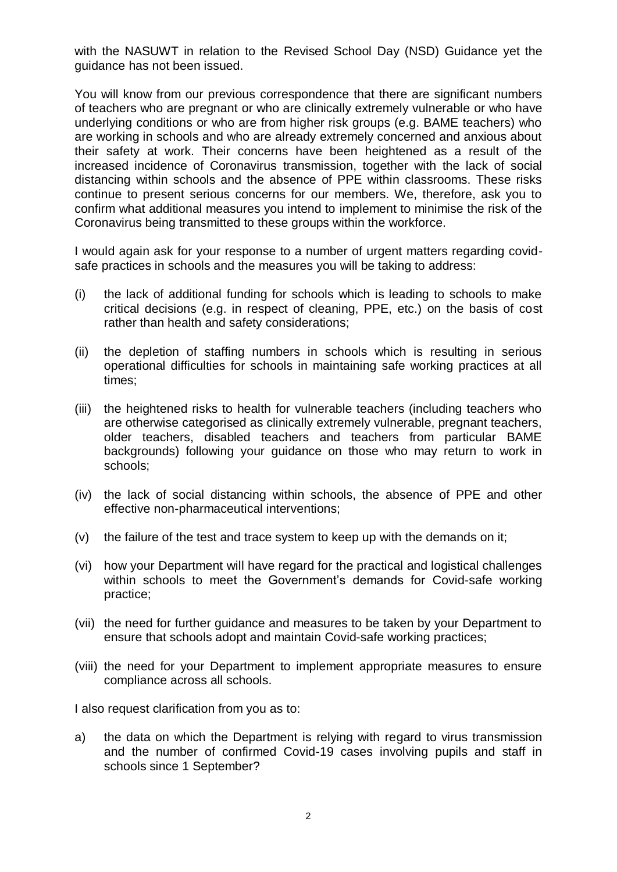with the NASUWT in relation to the Revised School Day (NSD) Guidance yet the guidance has not been issued.

You will know from our previous correspondence that there are significant numbers of teachers who are pregnant or who are clinically extremely vulnerable or who have underlying conditions or who are from higher risk groups (e.g. BAME teachers) who are working in schools and who are already extremely concerned and anxious about their safety at work. Their concerns have been heightened as a result of the increased incidence of Coronavirus transmission, together with the lack of social distancing within schools and the absence of PPE within classrooms. These risks continue to present serious concerns for our members. We, therefore, ask you to confirm what additional measures you intend to implement to minimise the risk of the Coronavirus being transmitted to these groups within the workforce.

I would again ask for your response to a number of urgent matters regarding covidsafe practices in schools and the measures you will be taking to address:

- (i) the lack of additional funding for schools which is leading to schools to make critical decisions (e.g. in respect of cleaning, PPE, etc.) on the basis of cost rather than health and safety considerations;
- (ii) the depletion of staffing numbers in schools which is resulting in serious operational difficulties for schools in maintaining safe working practices at all times;
- (iii) the heightened risks to health for vulnerable teachers (including teachers who are otherwise categorised as clinically extremely vulnerable, pregnant teachers, older teachers, disabled teachers and teachers from particular BAME backgrounds) following your guidance on those who may return to work in schools;
- (iv) the lack of social distancing within schools, the absence of PPE and other effective non-pharmaceutical interventions;
- (v) the failure of the test and trace system to keep up with the demands on it;
- (vi) how your Department will have regard for the practical and logistical challenges within schools to meet the Government's demands for Covid-safe working practice;
- (vii) the need for further guidance and measures to be taken by your Department to ensure that schools adopt and maintain Covid-safe working practices;
- (viii) the need for your Department to implement appropriate measures to ensure compliance across all schools.

I also request clarification from you as to:

a) the data on which the Department is relying with regard to virus transmission and the number of confirmed Covid-19 cases involving pupils and staff in schools since 1 September?